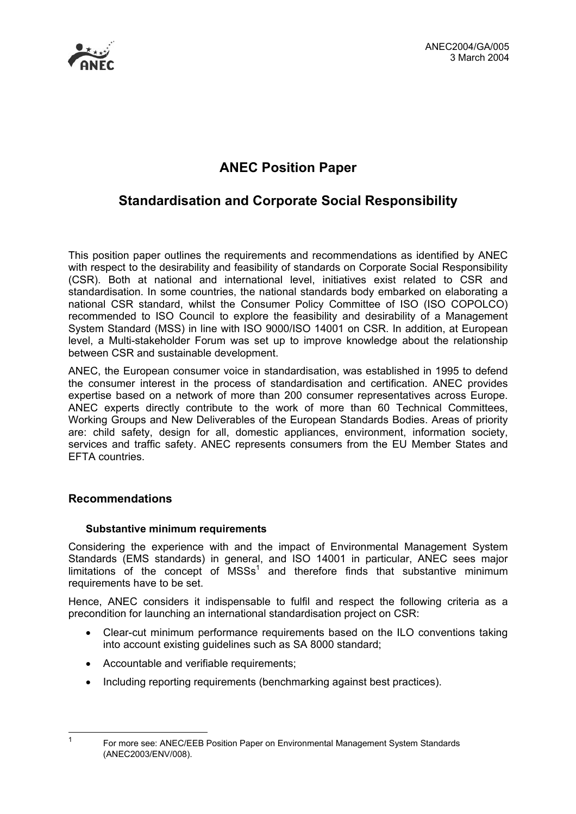

# **ANEC Position Paper**

# **Standardisation and Corporate Social Responsibility**

This position paper outlines the requirements and recommendations as identified by ANEC with respect to the desirability and feasibility of standards on Corporate Social Responsibility (CSR). Both at national and international level, initiatives exist related to CSR and standardisation. In some countries, the national standards body embarked on elaborating a national CSR standard, whilst the Consumer Policy Committee of ISO (ISO COPOLCO) recommended to ISO Council to explore the feasibility and desirability of a Management System Standard (MSS) in line with ISO 9000/ISO 14001 on CSR. In addition, at European level, a Multi-stakeholder Forum was set up to improve knowledge about the relationship between CSR and sustainable development.

ANEC, the European consumer voice in standardisation, was established in 1995 to defend the consumer interest in the process of standardisation and certification. ANEC provides expertise based on a network of more than 200 consumer representatives across Europe. ANEC experts directly contribute to the work of more than 60 Technical Committees, Working Groups and New Deliverables of the European Standards Bodies. Areas of priority are: child safety, design for all, domestic appliances, environment, information society, services and traffic safety. ANEC represents consumers from the EU Member States and EFTA countries.

### **Recommendations**

### **Substantive minimum requirements**

Considering the experience with and the impact of Environmental Management System Standards (EMS standards) in general, and ISO 14001 in particular, ANEC sees major limitations of the concept of  $MSSs<sup>1</sup>$  $MSSs<sup>1</sup>$  $MSSs<sup>1</sup>$  and therefore finds that substantive minimum requirements have to be set.

Hence, ANEC considers it indispensable to fulfil and respect the following criteria as a precondition for launching an international standardisation project on CSR:

- Clear-cut minimum performance requirements based on the ILO conventions taking into account existing guidelines such as SA 8000 standard;
- Accountable and verifiable requirements:
- Including reporting requirements (benchmarking against best practices).

 $\overline{a}$ 

<span id="page-0-0"></span><sup>&</sup>lt;sup>1</sup> For more see: ANEC/EEB Position Paper on Environmental Management System Standards (ANEC2003/ENV/008).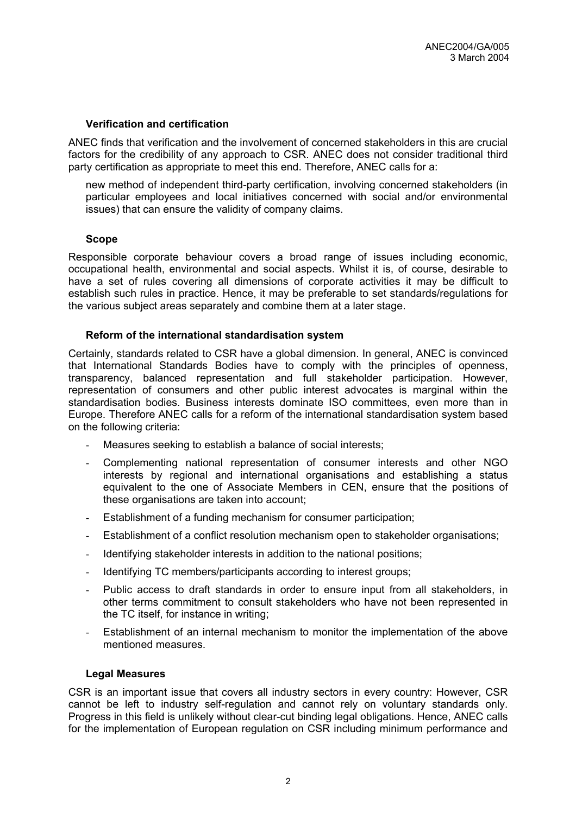#### **Verification and certification**

ANEC finds that verification and the involvement of concerned stakeholders in this are crucial factors for the credibility of any approach to CSR. ANEC does not consider traditional third party certification as appropriate to meet this end. Therefore, ANEC calls for a:

new method of independent third-party certification, involving concerned stakeholders (in particular employees and local initiatives concerned with social and/or environmental issues) that can ensure the validity of company claims.

#### **Scope**

Responsible corporate behaviour covers a broad range of issues including economic, occupational health, environmental and social aspects. Whilst it is, of course, desirable to have a set of rules covering all dimensions of corporate activities it may be difficult to establish such rules in practice. Hence, it may be preferable to set standards/regulations for the various subject areas separately and combine them at a later stage.

#### **Reform of the international standardisation system**

Certainly, standards related to CSR have a global dimension. In general, ANEC is convinced that International Standards Bodies have to comply with the principles of openness, transparency, balanced representation and full stakeholder participation. However, representation of consumers and other public interest advocates is marginal within the standardisation bodies. Business interests dominate ISO committees, even more than in Europe. Therefore ANEC calls for a reform of the international standardisation system based on the following criteria:

- Measures seeking to establish a balance of social interests;
- Complementing national representation of consumer interests and other NGO interests by regional and international organisations and establishing a status equivalent to the one of Associate Members in CEN, ensure that the positions of these organisations are taken into account;
- Establishment of a funding mechanism for consumer participation;
- Establishment of a conflict resolution mechanism open to stakeholder organisations;
- Identifying stakeholder interests in addition to the national positions;
- Identifying TC members/participants according to interest groups;
- Public access to draft standards in order to ensure input from all stakeholders, in other terms commitment to consult stakeholders who have not been represented in the TC itself, for instance in writing;
- Establishment of an internal mechanism to monitor the implementation of the above mentioned measures.

#### **Legal Measures**

CSR is an important issue that covers all industry sectors in every country: However, CSR cannot be left to industry self-regulation and cannot rely on voluntary standards only. Progress in this field is unlikely without clear-cut binding legal obligations. Hence, ANEC calls for the implementation of European regulation on CSR including minimum performance and